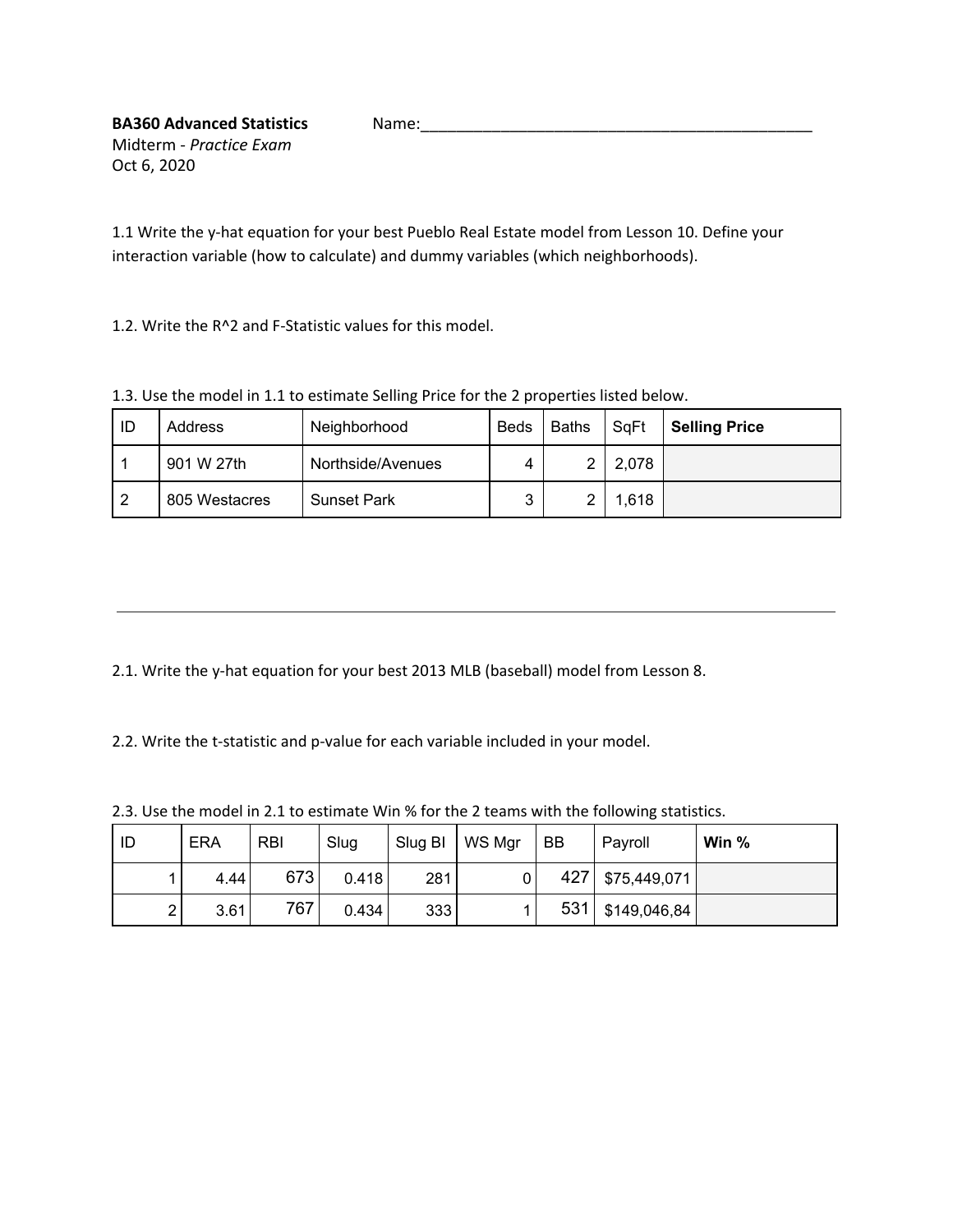1.1 Write the y-hat equation for your best Pueblo Real Estate model from Lesson 10. Define your interaction variable (how to calculate) and dummy variables (which neighborhoods).

1.2. Write the R^2 and F-Statistic values for this model.

| ID | Address       | Neighborhood       | <b>Beds</b> | <b>Baths</b> | SqFt  | <b>Selling Price</b> |  |  |  |  |
|----|---------------|--------------------|-------------|--------------|-------|----------------------|--|--|--|--|
|    | 901 W 27th    | Northside/Avenues  |             |              | 2,078 |                      |  |  |  |  |
|    | 805 Westacres | <b>Sunset Park</b> | ◠           |              | 1,618 |                      |  |  |  |  |

1.3. Use the model in 1.1 to estimate Selling Price for the 2 properties listed below.

2.1. Write the y-hat equation for your best 2013 MLB (baseball) model from Lesson 8.

2.2. Write the t-statistic and p-value for each variable included in your model.

2.3. Use the model in 2.1 to estimate Win % for the 2 teams with the following statistics.

| ID             | <b>ERA</b> | <b>RBI</b> | Slug  | Slug BI | WS Mgr | BB  | Payroll      | Win $%$ |
|----------------|------------|------------|-------|---------|--------|-----|--------------|---------|
|                | 4.44       | 673        | 0.418 | 281     |        | 427 | \$75,449,071 |         |
| $\overline{2}$ | 3.61       | 767        | 0.434 | 333     |        | 531 | \$149,046,84 |         |